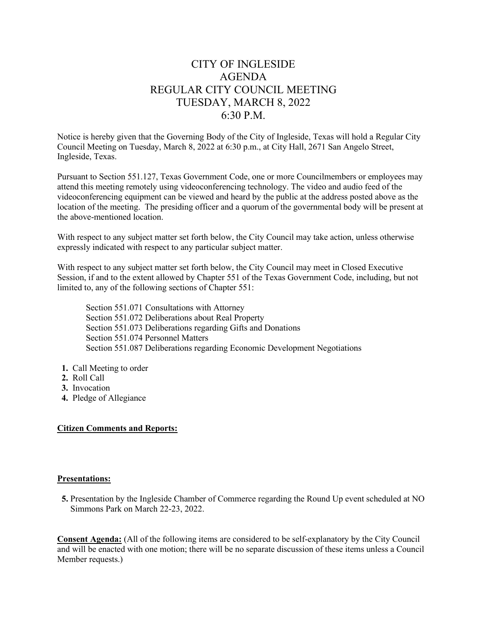# CITY OF INGLESIDE AGENDA REGULAR CITY COUNCIL MEETING TUESDAY, MARCH 8, 2022 6:30 P.M.

Notice is hereby given that the Governing Body of the City of Ingleside, Texas will hold a Regular City Council Meeting on Tuesday, March 8, 2022 at 6:30 p.m., at City Hall, 2671 San Angelo Street, Ingleside, Texas.

Pursuant to Section 551.127, Texas Government Code, one or more Councilmembers or employees may attend this meeting remotely using videoconferencing technology. The video and audio feed of the videoconferencing equipment can be viewed and heard by the public at the address posted above as the location of the meeting. The presiding officer and a quorum of the governmental body will be present at the above-mentioned location.

With respect to any subject matter set forth below, the City Council may take action, unless otherwise expressly indicated with respect to any particular subject matter.

With respect to any subject matter set forth below, the City Council may meet in Closed Executive Session, if and to the extent allowed by Chapter 551 of the Texas Government Code, including, but not limited to, any of the following sections of Chapter 551:

Section 551.071 Consultations with Attorney Section 551.072 Deliberations about Real Property Section 551.073 Deliberations regarding Gifts and Donations Section 551.074 Personnel Matters Section 551.087 Deliberations regarding Economic Development Negotiations

- **1.** Call Meeting to order
- **2.** Roll Call
- **3.** Invocation
- **4.** Pledge of Allegiance

## **Citizen Comments and Reports:**

#### **Presentations:**

 **5.** Presentation by the Ingleside Chamber of Commerce regarding the Round Up event scheduled at NO Simmons Park on March 22-23, 2022.

**Consent Agenda:** (All of the following items are considered to be self-explanatory by the City Council and will be enacted with one motion; there will be no separate discussion of these items unless a Council Member requests.)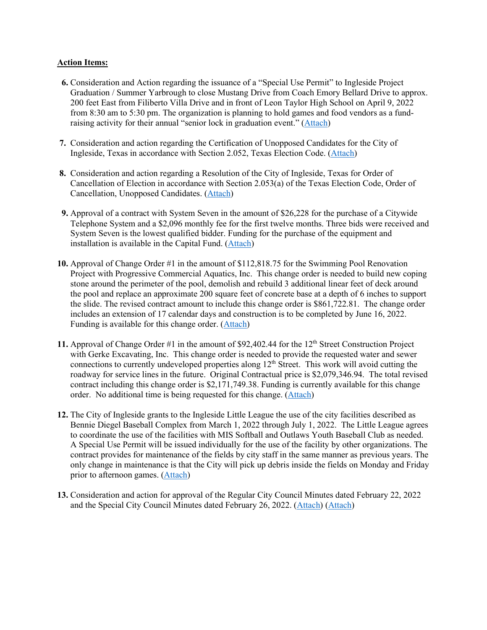#### **Action Items:**

- **6.** Consideration and Action regarding the issuance of a "Special Use Permit" to Ingleside Project Graduation / Summer Yarbrough to close Mustang Drive from Coach Emory Bellard Drive to approx. 200 feet East from Filiberto Villa Drive and in front of Leon Taylor High School on April 9, 2022 from 8:30 am to 5:30 pm. The organization is planning to hold games and food vendors as a fundraising activity for their annual "senior lock in graduation event." [\(Attach\)](https://tx-ingleside.civicplus.com/DocumentCenter/View/793/6-Special-Use-Permit-Project-Graduation-PDF)
- **7.** Consideration and action regarding the Certification of Unopposed Candidates for the City of Ingleside, Texas in accordance with Section 2.052, Texas Election Code. [\(Attach\)](https://tx-ingleside.civicplus.com/DocumentCenter/View/794/7-Certification-of-Unoppposed-Candidates-PDF)
- **8.** Consideration and action regarding a Resolution of the City of Ingleside, Texas for Order of Cancellation of Election in accordance with Section 2.053(a) of the Texas Election Code, Order of Cancellation, Unopposed Candidates. [\(Attach\)](https://tx-ingleside.civicplus.com/DocumentCenter/View/795/8-Res-Cancel-Election-PDF)
- **9.** Approval of a contract with System Seven in the amount of \$26,228 for the purchase of a Citywide Telephone System and a \$2,096 monthly fee for the first twelve months. Three bids were received and System Seven is the lowest qualified bidder. Funding for the purchase of the equipment and installation is available in the Capital Fund. [\(Attach\)](https://tx-ingleside.civicplus.com/DocumentCenter/View/796/9-Citywide-Phone-System-Upgrade-PDF)
- **10.** Approval of Change Order #1 in the amount of \$112,818.75 for the Swimming Pool Renovation Project with Progressive Commercial Aquatics, Inc. This change order is needed to build new coping stone around the perimeter of the pool, demolish and rebuild 3 additional linear feet of deck around the pool and replace an approximate 200 square feet of concrete base at a depth of 6 inches to support the slide. The revised contract amount to include this change order is \$861,722.81. The change order includes an extension of 17 calendar days and construction is to be completed by June 16, 2022. Funding is available for this change order. [\(Attach\)](https://tx-ingleside.civicplus.com/DocumentCenter/View/797/10-Swimming-Pool-PDF)
- 11. Approval of Change Order #1 in the amount of \$92,402.44 for the 12<sup>th</sup> Street Construction Project with Gerke Excavating, Inc. This change order is needed to provide the requested water and sewer connections to currently undeveloped properties along  $12<sup>th</sup>$  Street. This work will avoid cutting the roadway for service lines in the future. Original Contractual price is \$2,079,346.94. The total revised contract including this change order is \$2,171,749.38. Funding is currently available for this change order. No additional time is being requested for this change. [\(Attach\)](https://tx-ingleside.civicplus.com/DocumentCenter/View/798/11-12th-Street-Construction-Project-PDF)
- **12.** The City of Ingleside grants to the Ingleside Little League the use of the city facilities described as Bennie Diegel Baseball Complex from March 1, 2022 through July 1, 2022. The Little League agrees to coordinate the use of the facilities with MIS Softball and Outlaws Youth Baseball Club as needed. A Special Use Permit will be issued individually for the use of the facility by other organizations. The contract provides for maintenance of the fields by city staff in the same manner as previous years. The only change in maintenance is that the City will pick up debris inside the fields on Monday and Friday prior to afternoon games. [\(Attach\)](https://tx-ingleside.civicplus.com/DocumentCenter/View/799/12-Ingleside-Little-League-PDF)
- **13.** Consideration and action for approval of the Regular City Council Minutes dated February 22, 2022 and the Special City Council Minutes dated February 26, 2022. [\(Attach\)](https://tx-ingleside.civicplus.com/DocumentCenter/View/800/13a-Minutes-02222022-PDF) [\(Attach\)](https://tx-ingleside.civicplus.com/DocumentCenter/View/801/13b-Minutes-02262022-PDF)